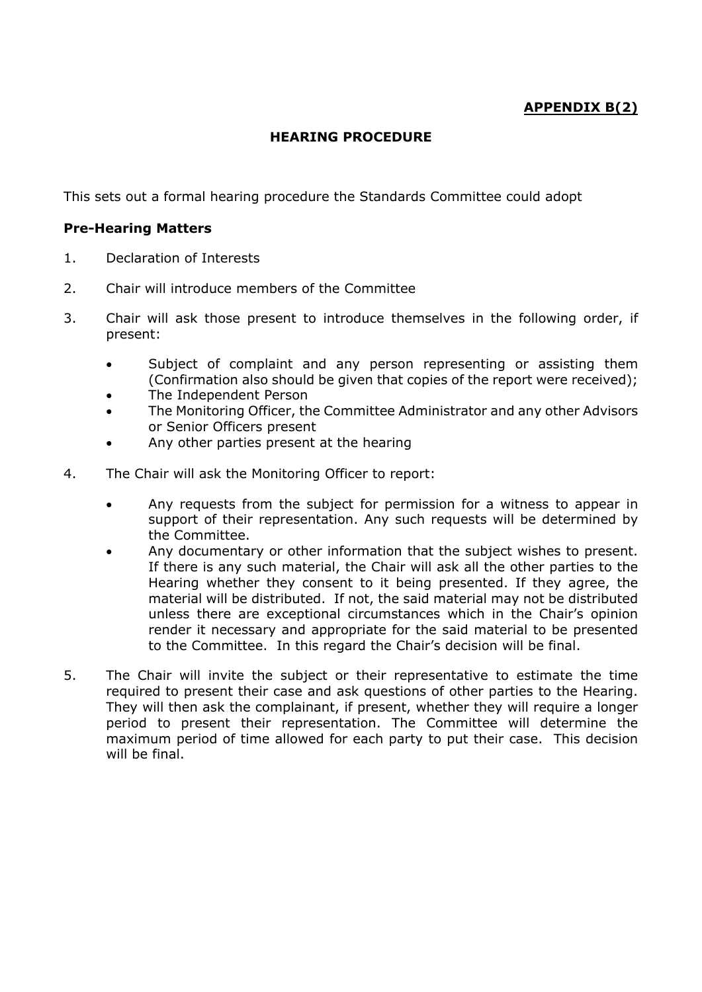## **APPENDIX B(2)**

## **HEARING PROCEDURE**

This sets out a formal hearing procedure the Standards Committee could adopt

## **Pre-Hearing Matters**

- 1. Declaration of Interests
- 2. Chair will introduce members of the Committee
- 3. Chair will ask those present to introduce themselves in the following order, if present:
	- Subject of complaint and any person representing or assisting them (Confirmation also should be given that copies of the report were received);
	- The Independent Person
	- The Monitoring Officer, the Committee Administrator and any other Advisors or Senior Officers present
	- Any other parties present at the hearing
- 4. The Chair will ask the Monitoring Officer to report:
	- Any requests from the subject for permission for a witness to appear in support of their representation. Any such requests will be determined by the Committee.
	- Any documentary or other information that the subject wishes to present. If there is any such material, the Chair will ask all the other parties to the Hearing whether they consent to it being presented. If they agree, the material will be distributed. If not, the said material may not be distributed unless there are exceptional circumstances which in the Chair's opinion render it necessary and appropriate for the said material to be presented to the Committee. In this regard the Chair's decision will be final.
- 5. The Chair will invite the subject or their representative to estimate the time required to present their case and ask questions of other parties to the Hearing. They will then ask the complainant, if present, whether they will require a longer period to present their representation. The Committee will determine the maximum period of time allowed for each party to put their case. This decision will be final.